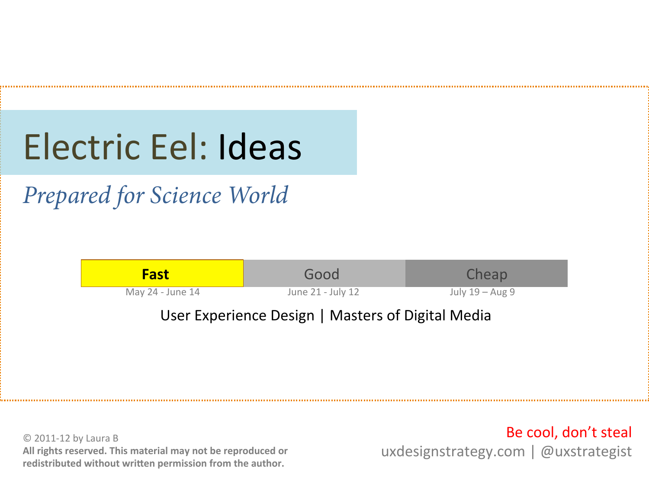# Electric Eel: Ideas

*Prepared for Science World* 



© 2011-12 by Laura B All rights reserved. This material may not be reproduced or redistributed without written permission from the author.

Be cool, don't steal uxdesignstrategy.com | @uxstrategist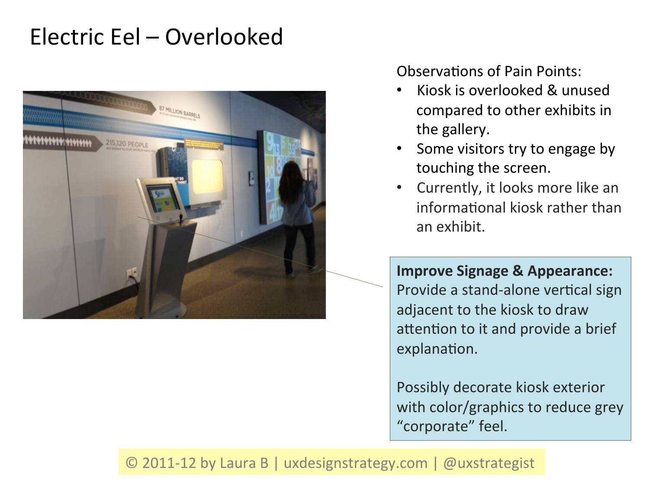# Electric Eel – Overlooked



Observations of Pain Points:

- Kiosk is overlooked & unused compared to other exhibits in the gallery.
- Some visitors try to engage by touching the screen.
- Currently, it looks more like an informational kiosk rather than an exhibit.

**Improve Signage & Appearance:** Provide a stand-alone vertical sign adjacent to the kiosk to draw attention to it and provide a brief explanation.

Possibly decorate kiosk exterior with color/graphics to reduce grey "corporate" feel.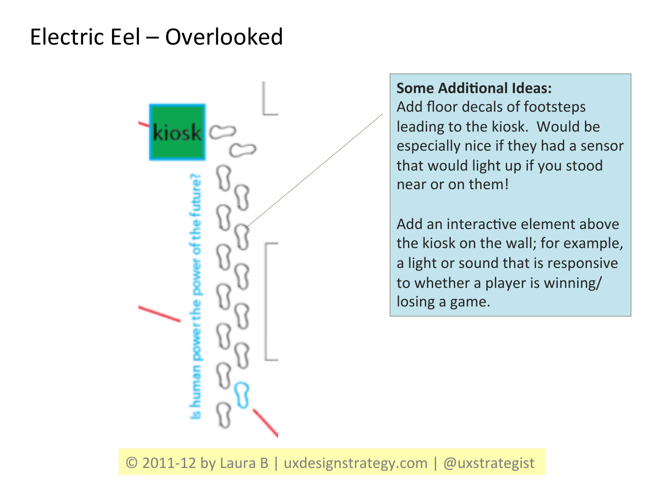### Electric Eel – Overlooked



#### **Some Additional Ideas:**

Add floor decals of footsteps leading to the kiosk. Would be especially nice if they had a sensor that would light up if you stood near or on them!

Add an interactive element above the kiosk on the wall; for example, a light or sound that is responsive to whether a player is winning/ losing a game.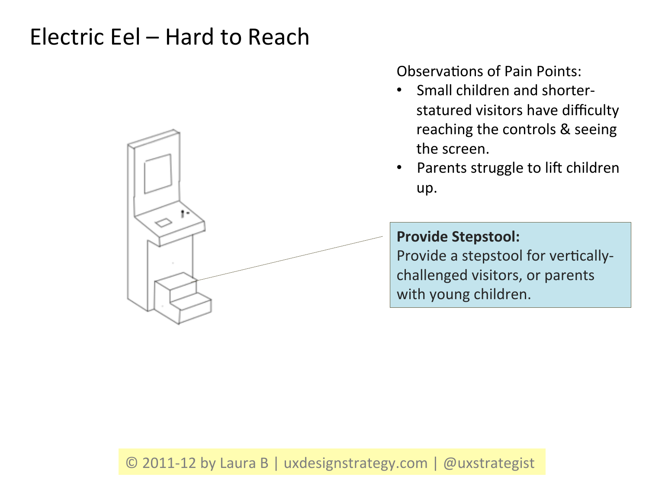### Electric Eel – Hard to Reach



Observations of Pain Points:

- Small children and shorterstatured visitors have difficulty reaching the controls & seeing the screen.
- Parents struggle to lift children up.

### **Provide Stepstool:**

Provide a stepstool for verticallychallenged visitors, or parents with young children.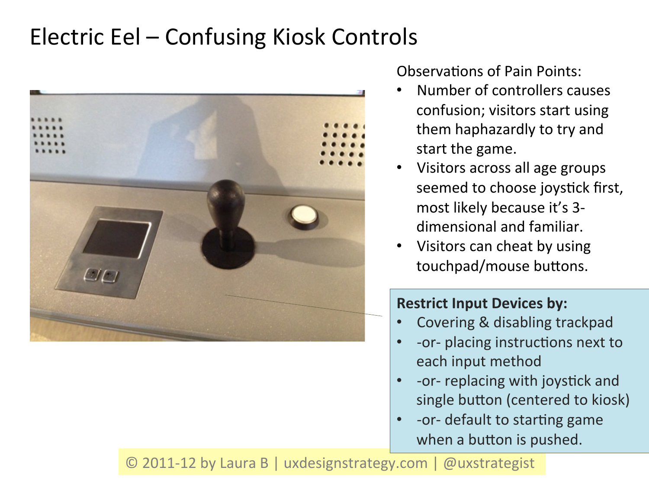# Electric Eel – Confusing Kiosk Controls



Observations of Pain Points:

- Number of controllers causes confusion; visitors start using them haphazardly to try and start the game.
- Visitors across all age groups seemed to choose joystick first, most likely because it's 3dimensional and familiar.
- Visitors can cheat by using touchpad/mouse buttons.

### **Restrict Input Devices by:**

- Covering & disabling trackpad
- -or- placing instructions next to each input method
- -or- replacing with joystick and single button (centered to kiosk)
- -or- default to starting game when a button is pushed.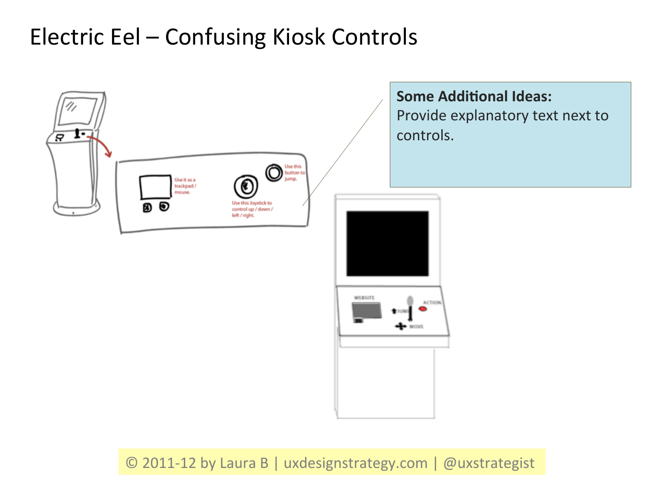# Electric Eel – Confusing Kiosk Controls

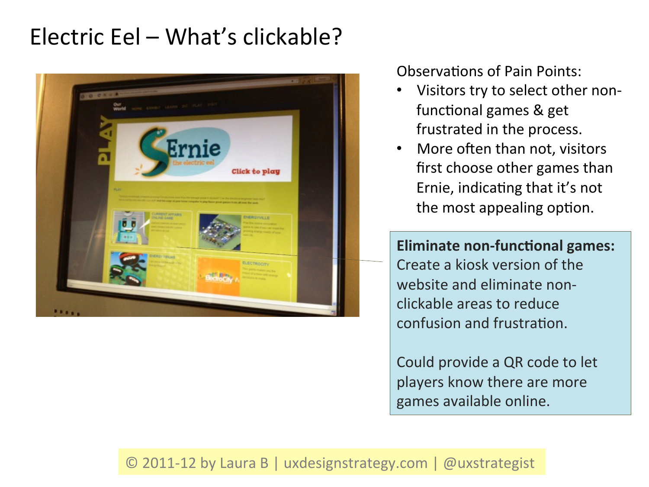# Electric Eel – What's clickable?



Observations of Pain Points:

- Visitors try to select other nonfunctional games & get frustrated in the process.
- More often than not, visitors first choose other games than Ernie, indicating that it's not the most appealing option.

**Eliminate non-functional games:** Create a kiosk version of the website and eliminate nonclickable areas to reduce confusion and frustration.

Could provide a QR code to let players know there are more games available online.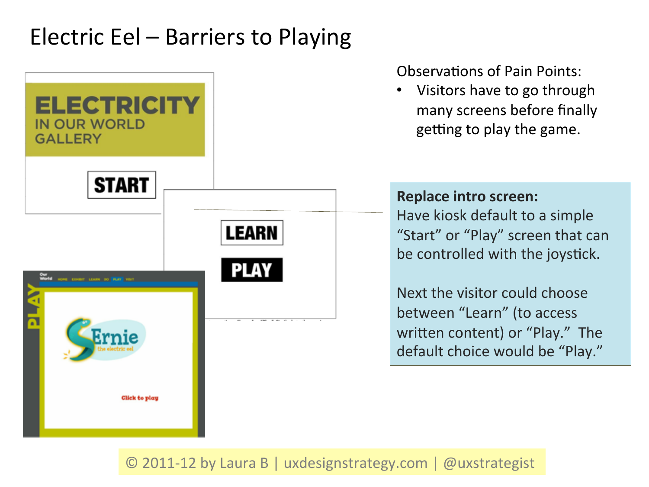### Electric Eel – Barriers to Playing



#### Observations of Pain Points:

Visitors have to go through many screens before finally getting to play the game.

#### **Replace intro screen:**

Have kiosk default to a simple "Start" or "Play" screen that can be controlled with the joystick.

Next the visitor could choose between "Learn" (to access written content) or "Play." The default choice would be "Play."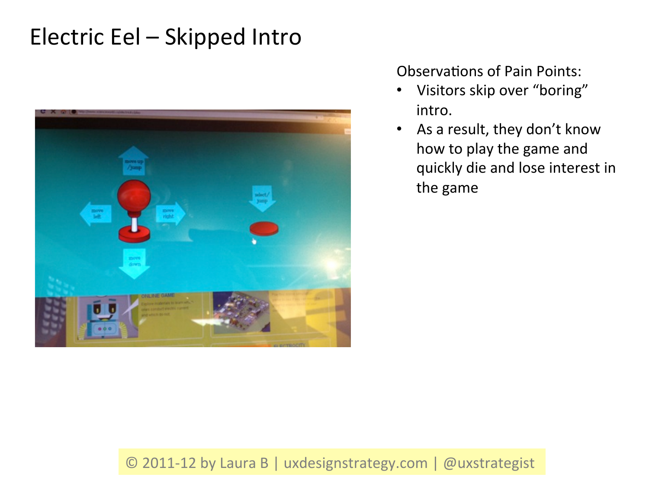

Observations of Pain Points:

- Visitors skip over "boring" intro.
- As a result, they don't know how to play the game and quickly die and lose interest in the game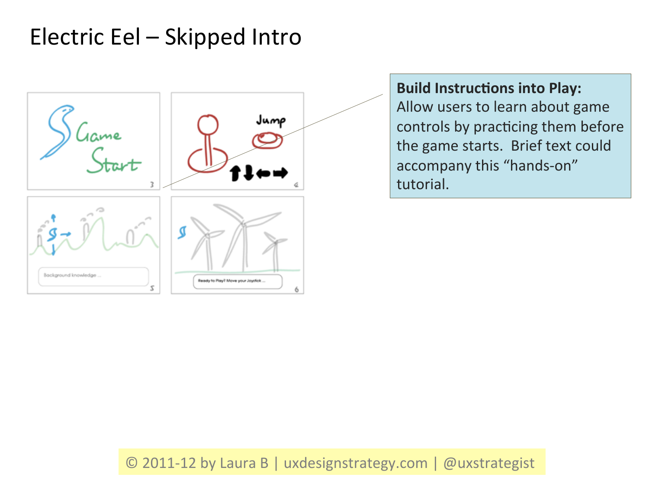

**Build Instructions into Play:** Allow users to learn about game controls by practicing them before the game starts. Brief text could accompany this "hands-on" tutorial.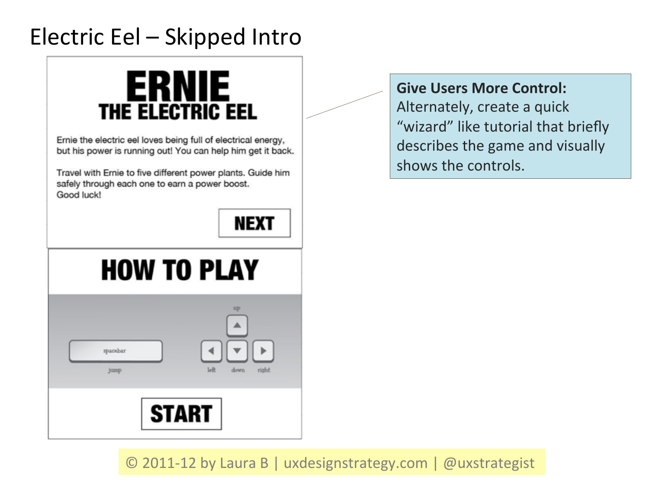# **ERNIE** THE ELECTRIC EEL

Ernie the electric eel loves being full of electrical energy, but his power is running out! You can help him get it back.

Travel with Ernie to five different power plants. Guide him safely through each one to earn a power boost. Good luck!

**Give Users More Control:** 

Alternately, create a quick "wizard" like tutorial that briefly describes the game and visually shows the controls.

**NEXT** 

# **HOW TO PLAY**

| spacebar | up                      |
|----------|-------------------------|
| jump     | $1eft$<br>right<br>down |
|          | <b>START</b>            |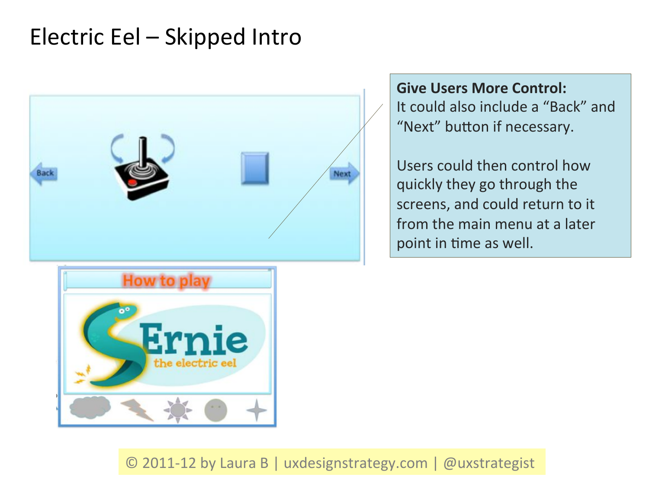

**Give Users More Control:** It could also include a "Back" and "Next" button if necessary.

Users could then control how quickly they go through the screens, and could return to it from the main menu at a later point in time as well.

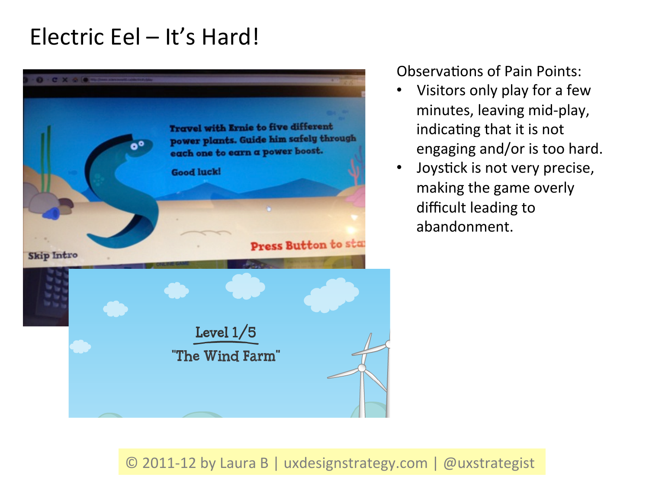### Electric Eel - It's Hard!



Observations of Pain Points:

- Visitors only play for a few minutes, leaving mid-play, indicating that it is not engaging and/or is too hard.
- Joystick is not very precise, making the game overly difficult leading to abandonment.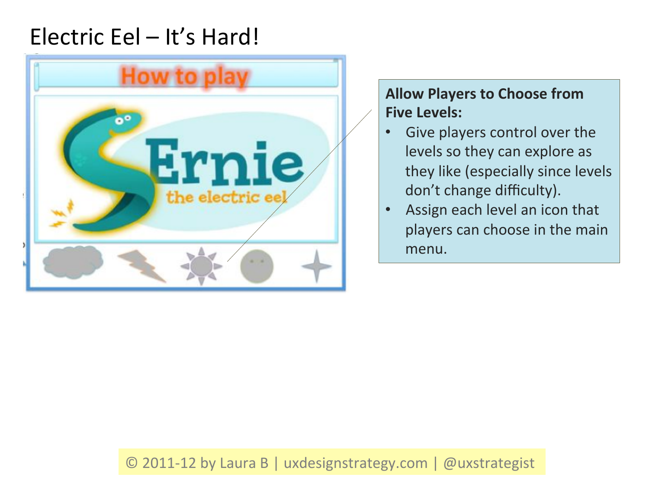### Electric Eel - It's Hard!



### **Allow Players to Choose from Five Levels:**

- Give players control over the levels so they can explore as they like (especially since levels don't change difficulty).
- Assign each level an icon that players can choose in the main menu.